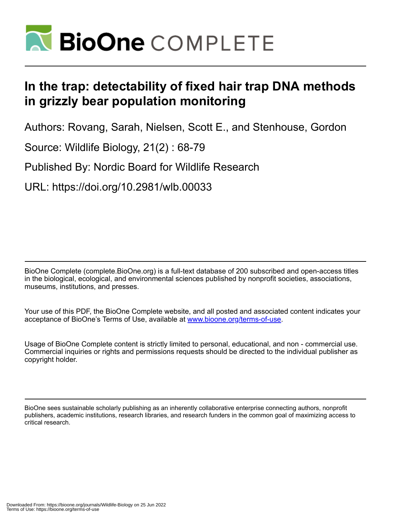

# **In the trap: detectability of fixed hair trap DNA methods in grizzly bear population monitoring**

Authors: Rovang, Sarah, Nielsen, Scott E., and Stenhouse, Gordon

Source: Wildlife Biology, 21(2) : 68-79

Published By: Nordic Board for Wildlife Research

URL: https://doi.org/10.2981/wlb.00033

BioOne Complete (complete.BioOne.org) is a full-text database of 200 subscribed and open-access titles in the biological, ecological, and environmental sciences published by nonprofit societies, associations, museums, institutions, and presses.

Your use of this PDF, the BioOne Complete website, and all posted and associated content indicates your acceptance of BioOne's Terms of Use, available at www.bioone.org/terms-of-use.

Usage of BioOne Complete content is strictly limited to personal, educational, and non - commercial use. Commercial inquiries or rights and permissions requests should be directed to the individual publisher as copyright holder.

BioOne sees sustainable scholarly publishing as an inherently collaborative enterprise connecting authors, nonprofit publishers, academic institutions, research libraries, and research funders in the common goal of maximizing access to critical research.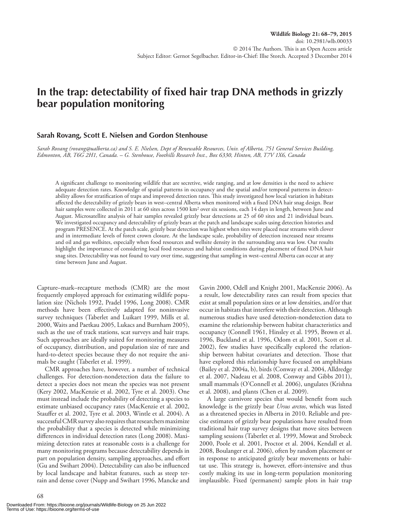# **In the trap: detectability of fixed hair trap DNA methods in grizzly bear population monitoring**

#### **Sarah Rovang, Scott E. Nielsen and Gordon Stenhouse**

*Sarah Rovang (rovang@ualberta.ca) and S. E. Nielsen, Dept of Renewable Resources, Univ. of Alberta, 751 General Services Building, Edmonton, AB, T6G 2H1, Canada. – G. Stenhouse, Foothills Research Inst., Box 6330, Hinton, AB, T7V 1X6, Canada* 

A significant challenge to monitoring wildlife that are secretive, wide ranging, and at low densities is the need to achieve adequate detection rates. Knowledge of spatial patterns in occupancy and the spatial and/or temporal patterns in detectability allows for stratification of traps and improved detection rates. This study investigated how local variation in habitats affected the detectability of grizzly bears in west–central Alberta when monitored with a fixed DNA hair snag design. Bear hair samples were collected in 2011 at 60 sites across 1500 km<sup>2</sup> over six sessions, each 14 days in length, between June and August. Microsatellite analysis of hair samples revealed grizzly bear detections at 25 of 60 sites and 21 individual bears. We investigated occupancy and detectability of grizzly bears at the patch and landscape scales using detection histories and program PRESENCE. At the patch scale, grizzly bear detection was highest when sites were placed near streams with clover and in intermediate levels of forest crown closure. At the landscape scale, probability of detection increased near streams and oil and gas wellsites, especially when food resources and wellsite density in the surrounding area was low. Our results highlight the importance of considering local food resources and habitat conditions during placement of fixed DNA hair snag sites. Detectability was not found to vary over time, suggesting that sampling in west–central Alberta can occur at any time between June and August.

Capture–mark–recapture methods (CMR) are the most frequently employed approach for estimating wildlife population size (Nichols 1992, Pradel 1996, Long 2008). CMR methods have been effectively adapted for noninvasive survey techniques (Taberlet and Luikart 1999, Mills et al. 2000, Waits and Paetkau 2005, Lukacs and Burnham 2005), such as the use of track stations, scat surveys and hair traps. Such approaches are ideally suited for monitoring measures of occupancy, distribution, and population size of rare and hard-to-detect species because they do not require the animals be caught (Taberlet et al. 1999).

CMR approaches have, however, a number of technical challenges. For detection-nondetection data the failure to detect a species does not mean the species was not present (Kery 2002, MacKenzie et al. 2002, Tyre et al. 2003). One must instead include the probability of detecting a species to estimate unbiased occupancy rates (MacKenzie et al. 2002, Stauffer et al. 2002, Tyre et al. 2003, Wintle et al. 2004). A successful CMR survey also requires that researchers maximize the probability that a species is detected while minimizing differences in individual detection rates (Long 2008). Maximizing detection rates at reasonable costs is a challenge for many monitoring programs because detectability depends in part on population density, sampling approaches, and effort (Gu and Swihart 2004). Detectability can also be influenced by local landscape and habitat features, such as steep terrain and dense cover (Nupp and Swihart 1996, Mancke and Gavin 2000, Odell and Knight 2001, MacKenzie 2006). As a result, low detectability rates can result from species that exist at small population sizes or at low densities, and/or that occur in habitats that interfere with their detection. Although numerous studies have used detection-nondetection data to examine the relationship between habitat characteristics and occupancy (Connell 1961, Hinsley et al. 1995, Brown et al. 1996, Buckland et al. 1996, Odom et al. 2001, Scott et al. 2002), few studies have specifically explored the relationship between habitat covariates and detection. Those that have explored this relationship have focused on amphibians (Bailey et al. 2004a, b), birds (Conway et al. 2004, Alldredge et al. 2007, Nadeau et al. 2008, Conway and Gibbs 2011), small mammals (O'Connell et al. 2006), ungulates (Krishna et al. 2008), and plants (Chen et al. 2009).

A large carnivore species that would benefit from such knowledge is the grizzly bear *Ursus arctos*, which was listed as a threatened species in Alberta in 2010. Reliable and precise estimates of grizzly bear populations have resulted from traditional hair trap survey designs that move sites between sampling sessions (Taberlet et al. 1999, Mowat and Strobeck 2000, Poole et al. 2001, Proctor et al. 2004, Kendall et al. 2008, Boulanger et al. 2006), often by random placement or in response to anticipated grizzly bear movements or habitat use. This strategy is, however, effort-intensive and thus costly making its use in long-term population monitoring implausible. Fixed (permanent) sample plots in hair trap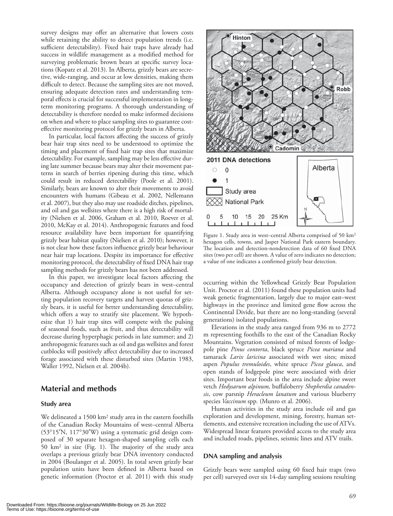survey designs may offer an alternative that lowers costs while retaining the ability to detect population trends (i.e. sufficient detectability). Fixed hair traps have already had success in wildlife management as a modified method for surveying problematic brown bears at specific survey locations (Kopatz et al. 2013). In Alberta, grizzly bears are secretive, wide-ranging, and occur at low densities, making them difficult to detect. Because the sampling sites are not moved, ensuring adequate detection rates and understanding temporal effects is crucial for successful implementation in longterm monitoring programs. A thorough understanding of detectability is therefore needed to make informed decisions on when and where to place sampling sites to guarantee costeffective monitoring protocol for grizzly bears in Alberta.

In particular, local factors affecting the success of grizzly bear hair trap sites need to be understood to optimize the timing and placement of fixed hair trap sites that maximize detectability. For example, sampling may be less effective during late summer because bears may alter their movement patterns in search of berries ripening during this time, which could result in reduced detectability (Poole et al. 2001). Similarly, bears are known to alter their movements to avoid encounters with humans (Gibeau et al. 2002, Nellemann et al. 2007), but they also may use roadside ditches, pipelines, and oil and gas wellsites where there is a high risk of mortality (Nielsen et al. 2006, Graham et al. 2010, Roever et al. 2010, McKay et al. 2014). Anthropogenic features and food resource availability have been important for quantifying grizzly bear habitat quality (Nielsen et al. 2010); however, it is not clear how these factors influence grizzly bear behaviour near hair trap locations. Despite its importance for effective monitoring protocol, the detectability of fixed DNA hair trap sampling methods for grizzly bears has not been addressed.

In this paper, we investigate local factors affecting the occupancy and detection of grizzly bears in west–central Alberta. Although occupancy alone is not useful for setting population recovery targets and harvest quotas of grizzly bears, it is useful for better understanding detectability, which offers a way to stratify site placement. We hypothesize that 1) hair trap sites will compete with the pulsing of seasonal foods, such as fruit, and thus detectability will decrease during hyperphagic periods in late summer; and 2) anthropogenic features such as oil and gas wellsites and forest cutblocks will positively affect detectability due to increased forage associated with these disturbed sites (Martin 1983, Waller 1992, Nielsen et al. 2004b).

### **Material and methods**

#### **Study area**

We delineated a 1500 km2 study area in the eastern foothills of the Canadian Rocky Mountains of west–central Alberta (53°15'N, 117°30'W) using a systematic grid design composed of 30 separate hexagon-shaped sampling cells each 50 km2 in size (Fig. 1). The majority of the study area overlaps a previous grizzly bear DNA inventory conducted in 2004 (Boulanger et al. 2005). In total seven grizzly bear population units have been defined in Alberta based on genetic information (Proctor et al. 2011) with this study



Figure 1. Study area in west–central Alberta comprised of 50 km2 hexagon cells, towns, and Jasper National Park eastern boundary. The location and detection-nondetection data of 60 fixed DNA sites (two per cell) are shown. A value of zero indicates no detection; a value of one indicates a confirmed grizzly bear detection.

occurring within the Yellowhead Grizzly Bear Population Unit. Proctor et al. (2011) found these population units had weak genetic fragmentation, largely due to major east–west highways in the province and limited gene flow across the Continental Divide, but there are no long-standing (several generations) isolated populations.

Elevations in the study area ranged from 936 m to 2772 m representing foothills to the east of the Canadian Rocky Mountains. Vegetation consisted of mixed forests of lodgepole pine *Pinus contorta*, black spruce *Picea mariana* and tamarack *Larix laricina* associated with wet sites; mixed aspen *Populus tremuloides*, white spruce *Picea glauca*, and open stands of lodgepole pine were associated with drier sites. Important bear foods in the area include alpine sweet vetch *Hedysarum alpinum,* buffaloberry *Shepherdia canadensis*, cow parsnip *Heracleum lanatum* and various blueberry species *Vaccinum* spp*.* (Munro et al. 2006).

Human activities in the study area include oil and gas exploration and development, mining, forestry, human settlements, and extensive recreation including the use of ATVs. Widespread linear features provided access to the study area and included roads, pipelines, seismic lines and ATV trails.

#### **DNA sampling and analysis**

Grizzly bears were sampled using 60 fixed hair traps (two per cell) surveyed over six 14-day sampling sessions resulting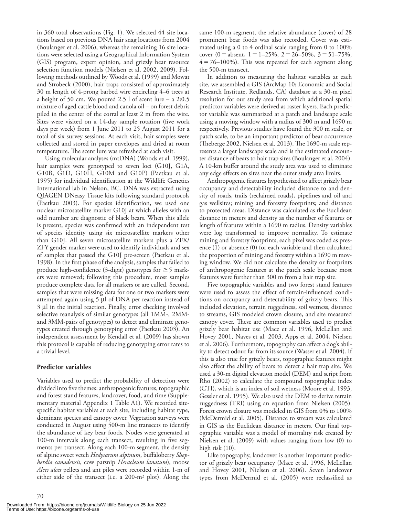in 360 total observations (Fig. 1). We selected 44 site locations based on previous DNA hair snag locations from 2004 (Boulanger et al. 2006), whereas the remaining 16 site locations were selected using a Geographical Information System (GIS) program, expert opinion, and grizzly bear resource selection function models (Nielsen et al. 2002, 2009). Following methods outlined by Woods et al. (1999) and Mowat and Strobeck (2000), hair traps consisted of approximately 30 m length of 4-prong barbed wire encircling 4–6 trees at a height of 50 cm. We poured 2.5 l of scent lure – a 2:0.5 mixture of aged cattle blood and canola oil – on forest debris piled in the center of the corral at least 2 m from the wire. Sites were visited on a 14-day sample rotation (five work days per week) from 1 June 2011 to 25 August 2011 for a total of six survey sessions. At each visit, hair samples were collected and stored in paper envelopes and dried at room temperature. The scent lure was refreshed at each visit.

Using molecular analyses (mtDNA) (Woods et al. 1999), hair samples were genotyped to seven loci (G10J, G1A, G10B, G1D, G10H, G10M and G10P) (Paetkau et al. 1995) for individual identification at the Wildlife Genetics International lab in Nelson, BC. DNA was extracted using QIAGEN DNeasy Tissue kits following standard protocols (Paetkau 2003). For species identification, we used one nuclear microsatellite marker G10J at which alleles with an odd number are diagnostic of black bears. When this allele is present, species was confirmed with an independent test of species identity using six microsatellite markers other than G10J. All seven microsatellite markers plus a ZFX/ ZFY gender marker were used to identify individuals and sex of samples that passed the G10J pre-screen (Paetkau et al. 1998). In the first phase of the analysis, samples that failed to produce high-confidence (3-digit) genotypes for  $\geq$  5 markers were removed; following this procedure, most samples produce complete data for all markers or are culled. Second, samples that were missing data for one or two markers were attempted again using 5 µl of DNA per reaction instead of 3 Ml in the initial reaction. Finally, error checking involved selective reanalysis of similar genotypes (all 1MM-, 2MMand 3MM-pairs of genotypes) to detect and eliminate genotypes created through genotyping error (Paetkau 2003). An independent assessment by Kendall et al. (2009) has shown this protocol is capable of reducing genotyping error rates to a trivial level.

#### **Predictor variables**

70

Variables used to predict the probability of detection were divided into five themes: anthropogenic features, topographic and forest stand features, landcover, food, and time (Supplementary material Appendix 1 Table A1). We recorded sitespecific habitat variables at each site, including habitat type, dominant species and canopy cover. Vegetation surveys were conducted in August using 500-m line transects to identify the abundance of key bear foods. Nodes were generated at 100-m intervals along each transect, resulting in five segments per transect. Along each 100-m segment, the density of alpine sweet vetch *Hedysarum alpinum*, buffaloberry *Shepherdia canadensis*, cow parsnip *Heracleum lanatum*), moose *Alces alces* pellets and ant piles were recorded within 1-m of either side of the transect (i.e. a 200-m2 plot). Along the

same 100-m segment, the relative abundance (cover) of 28 prominent bear foods was also recorded. Cover was estimated using a 0 to 4 ordinal scale ranging from 0 to 100% cover  $(0 = \text{absent}, 1 = 1 - 25\%, 2 = 26 - 50\%, 3 = 51 - 75\%,$  $4 = 76 - 100\%$ ). This was repeated for each segment along the 500-m transect.

In addition to measuring the habitat variables at each site, we assembled a GIS (ArcMap 10; Economic and Social Research Institute, Redlands, CA) database at a 30-m pixel resolution for our study area from which additional spatial predictor variables were derived as raster layers. Each predictor variable was summarized at a patch and landscape scale using a moving window with a radius of 300 m and 1690 m respectively. Previous studies have found the 300 m scale, or patch scale, to be an important predictor of bear occurrence (Theberge 2002, Nielsen et al. 2013). The 1690-m scale represents a larger landscape scale and is the estimated encounter distance of bears to hair trap sites (Boulanger et al. 2004). A 10-km buffer around the study area was used to eliminate any edge effects on sites near the outer study area limits.

Anthropogenic features hypothesized to affect grizzly bear occupancy and detectability included distance to and density of roads, trails (reclaimed roads), pipelines and oil and gas wellsites; mining and forestry footprints; and distance to protected areas. Distance was calculated as the Euclidean distance in meters and density as the number of features or length of features within a 1690 m radius. Density variables were log transformed to improve normality. To estimate mining and forestry footprints, each pixel was coded as presence (1) or absence (0) for each variable and then calculated the proportion of mining and forestry within a 1690 m moving window. We did not calculate the density or footprints of anthropogenic features at the patch scale because most features were further than 300 m from a hair trap site.

Five topographic variables and two forest stand features were used to assess the effect of terrain-influenced conditions on occupancy and detectability of grizzly bears. This included elevation, terrain ruggedness, soil wetness, distance to streams, GIS modeled crown closure, and site measured canopy cover. These are common variables used to predict grizzly bear habitat use (Mace et al. 1996, McLellan and Hovey 2001, Naves et al. 2003, Apps et al. 2004, Nielsen et al. 2006). Furthermore, topography can affect a dog's ability to detect odour far from its source (Wasser et al. 2004). If this is also true for grizzly bears, topographic features might also affect the ability of bears to detect a hair trap site. We used a 30-m digital elevation model (DEM) and script from Rho (2002) to calculate the compound topographic index (CTI), which is an index of soil wetness (Moore et al. 1993, Gessler et al. 1995). We also used the DEM to derive terrain ruggedness (TRI) using an equation from Nielsen (2005). Forest crown closure was modeled in GIS from 0% to 100% (McDermid et al. 2005). Distance to stream was calculated in GIS as the Euclidean distance in meters. Our final topographic variable was a model of mortality risk created by Nielsen et al. (2009) with values ranging from low (0) to high risk (10).

Like topography, landcover is another important predictor of grizzly bear occupancy (Mace et al. 1996, McLellan and Hovey 2001, Nielsen et al. 2006). Seven landcover types from McDermid et al. (2005) were reclassified as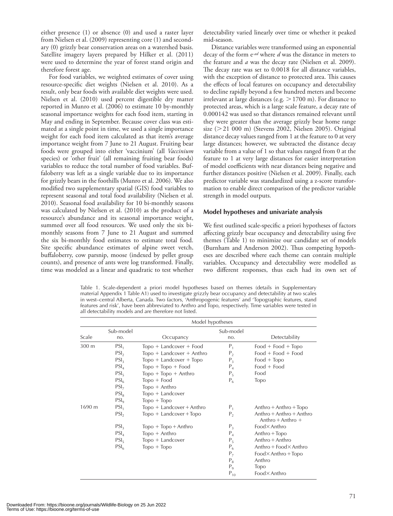either presence (1) or absence (0) and used a raster layer from Nielsen et al. (2009) representing core (1) and secondary (0) grizzly bear conservation areas on a watershed basis. Satellite imagery layers prepared by Hilker et al. (2011) were used to determine the year of forest stand origin and therefore forest age.

For food variables, we weighted estimates of cover using resource-specific diet weights (Nielsen et al. 2010). As a result, only bear foods with available diet weights were used. Nielsen et al. (2010) used percent digestible dry matter reported in Munro et al. (2006) to estimate 10 by-monthly seasonal importance weights for each food item, starting in May and ending in September. Because cover class was estimated at a single point in time, we used a single importance weight for each food item calculated as that item's average importance weight from 7 June to 21 August. Fruiting bear foods were grouped into either 'vaccinium' (all *Vaccinium* species) or 'other fruit' (all remaining fruiting bear foods) variables to reduce the total number of food variables. Buffaloberry was left as a single variable due to its importance for grizzly bears in the foothills (Munro et al. 2006). We also modified two supplementary spatial (GIS) food variables to represent seasonal and total food availability (Nielsen et al. 2010). Seasonal food availability for 10 bi-monthly seasons was calculated by Nielsen et al. (2010) as the product of a resource's abundance and its seasonal importance weight, summed over all food resources. We used only the six bimonthly seasons from 7 June to 21 August and summed the six bi-monthly food estimates to estimate total food. Site specific abundance estimates of alpine sweet vetch, buffaloberry, cow parsnip, moose (indexed by pellet group counts), and presence of ants were log transformed. Finally, time was modeled as a linear and quadratic to test whether detectability varied linearly over time or whether it peaked mid-season.

Distance variables were transformed using an exponential decay of the form e-*ad* where *d* was the distance in meters to the feature and *a* was the decay rate (Nielsen et al. 2009). The decay rate was set to 0.0018 for all distance variables, with the exception of distance to protected area. This causes the effects of local features on occupancy and detectability to decline rapidly beyond a few hundred meters and become irrelevant at large distances (e.g.  $> 1700$  m). For distance to protected areas, which is a large scale feature, a decay rate of 0.000142 was used so that distances remained relevant until they were greater than the average grizzly bear home range size ( $>$  21 000 m) (Stevens 2002, Nielsen 2005). Original distance decay values ranged from 1 at the feature to 0 at very large distances; however, we subtracted the distance decay variable from a value of 1 so that values ranged from 0 at the feature to 1 at very large distances for easier interpretation of model coefficients with near distances being negative and further distances positive (Nielsen et al. 2009). Finally, each predictor variable was standardized using a z-score transformation to enable direct comparison of the predictor variable strength in model outputs.

#### **Model hypotheses and univariate analysis**

We first outlined scale-specific a priori hypotheses of factors affecting grizzly bear occupancy and detectability using five themes (Table 1) to minimize our candidate set of models (Burnham and Anderson 2002). Thus competing hypotheses are described where each theme can contain multiple variables. Occupancy and detectability were modelled as two different responses, thus each had its own set of

Table 1. Scale-dependent a priori model hypotheses based on themes (details in Supplementary material Appendix 1 Table A1) used to investigate grizzly bear occupancy and detectability at two scales in west–central Alberta, Canada. Two factors, 'Anthropogenic features' and 'Topographic features, stand features and risk', have been abbreviated to Anthro and Topo, respectively. Time variables were tested in all detectability models and are therefore not listed.

|        |                  | Model hypotheses            |                |                                                 |  |
|--------|------------------|-----------------------------|----------------|-------------------------------------------------|--|
|        | Sub-model        |                             | Sub-model      |                                                 |  |
| Scale  | no.              | Occupancy                   | no.            | Detectability                                   |  |
| 300 m  | PSI <sub>1</sub> | $Topo + Landcover + Food$   | $P_1$          | $Food + Food + Topo$                            |  |
|        | PSI <sub>2</sub> | $Topo + Landcover + Antbro$ | $P_2$          | $Food + Food + Food$                            |  |
|        | PSI <sub>3</sub> | $Topo + Landcover + Topo$   | $P_3$          | $Food + Topo$                                   |  |
|        | PSI <sub>4</sub> | $Topo + Topo + Food$        | $P_4$          | $Food + Food$                                   |  |
|        | PSI <sub>5</sub> | $Topo + Topo + Anthro$      | $P_5$          | Food                                            |  |
|        | PSI <sub>6</sub> | $Topo + Food$               | $P_6$          | Topo                                            |  |
|        | PSI <sub>7</sub> | $Topo + Anthro$             |                |                                                 |  |
|        | PSI <sub>8</sub> | $Topo + Landcover$          |                |                                                 |  |
|        | PSI <sub>q</sub> | $Topo + Topo$               |                |                                                 |  |
| 1690 m | PSI <sub>1</sub> | $Topo + Landcover + Anthro$ | $P_1$          | $Anthro + Anthro + Topo$                        |  |
|        | PSI <sub>2</sub> | $Topo + Landcover + Topo$   | $P_2$          | $Anthro + Anthro + Anthro$<br>Anthro + Anthro + |  |
|        | PSI <sub>3</sub> | $Topo + Topo + Anthro$      | $P_3$          | $Food \times$ Anthro                            |  |
|        | PSI <sub>4</sub> | $Topo + Anthro$             | $P_4$          | $Anthro + Topo$                                 |  |
|        | PSI <sub>5</sub> | $Topo + Landcover$          | $P_5$          | Anthro + Anthro                                 |  |
|        | PSI <sub>6</sub> | $Topo + Topo$               | $P_6$          | Anthro + $Food \times$ Anthro                   |  |
|        |                  |                             | $P_7$          | $Food \times$ Anthro + Topo                     |  |
|        |                  |                             | $P_8$          | Anthro                                          |  |
|        |                  |                             | $P_9$          | <b>Topo</b>                                     |  |
|        |                  |                             | ${\sf P}_{10}$ | $Food \times$ Anthro                            |  |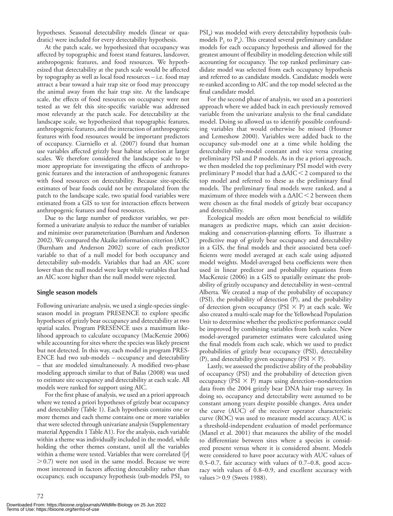hypotheses. Seasonal detectability models (linear or quadratic) were included for every detectability hypothesis.

At the patch scale, we hypothesized that occupancy was affected by topographic and forest stand features, landcover, anthropogenic features, and food resources. We hypothesized that detectability at the patch scale would be affected by topography as well as local food resources – i.e. food may attract a bear toward a hair trap site or food may preoccupy the animal away from the hair trap site. At the landscape scale, the effects of food resources on occupancy were not tested as we felt this site-specific variable was addressed most relevantly at the patch scale. For detectability at the landscape scale, we hypothesized that topographic features, anthropogenic features, and the interaction of anthropogenic features with food resources would be important predictors of occupancy. Ciarniello et al. (2007) found that human use variables affected grizzly bear habitat selection at larger scales. We therefore considered the landscape scale to be more appropriate for investigating the effects of anthropogenic features and the interaction of anthropogenic features with food resources on detectability. Because site-specific estimates of bear foods could not be extrapolated from the patch to the landscape scale, two spatial food variables were estimated from a GIS to test for interaction effects between anthropogenic features and food resources.

Due to the large number of predictor variables, we performed a univariate analysis to reduce the number of variables and minimize over parameterization (Burnham and Anderson 2002). We compared the Akaike information criterion (AIC) (Burnham and Anderson 2002) score of each predictor variable to that of a null model for both occupancy and detectability sub-models. Variables that had an AIC score lower than the null model were kept while variables that had an AIC score higher than the null model were rejected.

#### **Single season models**

Following univariate analysis, we used a single-species singleseason model in program PRESENCE to explore specific hypotheses of grizzly bear occupancy and detectability at two spatial scales. Program PRESENCE uses a maximum likelihood approach to calculate occupancy (MacKenzie 2006) while accounting for sites where the species was likely present but not detected. In this way, each model in program PRES-ENCE had two sub-models – occupancy and detectability – that are modeled simultaneously. A modified two-phase modeling approach similar to that of Balas (2008) was used to estimate site occupancy and detectability at each scale. All models were ranked for support using AIC.

For the first phase of analysis, we used an a priori approach where we tested a priori hypotheses of grizzly bear occupancy and detectability (Table 1). Each hypothesis contains one or more themes and each theme contains one or more variables that were selected through univariate analysis (Supplementary material Appendix 1 Table A1). For the analysis, each variable within a theme was individually included in the model, while holding the other themes constant, until all the variables within a theme were tested. Variables that were correlated (|*r*|  $(0.7)$  were not used in the same model. Because we were most interested in factors affecting detectability rather than occupancy, each occupancy hypothesis (sub-models  $PSI<sub>1</sub>$  to PSI*n*) was modeled with every detectability hypothesis (submodels  $P_1$  to  $P_n$ ). This created several preliminary candidate models for each occupancy hypothesis and allowed for the greatest amount of flexibility in modeling detection while still accounting for occupancy. The top ranked preliminary candidate model was selected from each occupancy hypothesis and referred to as candidate models. Candidate models were re-ranked according to AIC and the top model selected as the final candidate model.

For the second phase of analysis, we used an a posteriori approach where we added back in each previously removed variable from the univariate analysis to the final candidate model. Doing so allowed us to identify possible confounding variables that would otherwise be missed (Hosmer and Lemeshow 2000). Variables were added back to the occupancy sub-model one at a time while holding the detectability sub-model constant and vice versa creating preliminary PSI and P models. As in the a priori approach, we then modeled the top preliminary PSI model with every preliminary P model that had a  $\triangle AIC \leq 2$  compared to the top model and referred to these as the preliminary final models. The preliminary final models were ranked, and a maximum of three models with a  $\Delta AIC < 2$  between them were chosen as the final models of grizzly bear occupancy and detectability.

Ecological models are often most beneficial to wildlife managers as predictive maps, which can assist decisionmaking and conservation-planning efforts. To illustrate a predictive map of grizzly bear occupancy and detectability in a GIS, the final models and their associated beta coefficients were model averaged at each scale using adjusted model weights. Model-averaged beta coefficients were then used in linear predictor and probability equations from MacKenzie (2006) in a GIS to spatially estimate the probability of grizzly occupancy and detectability in west–central Alberta. We created a map of the probability of occupancy (PSI), the probability of detection (P), and the probability of detection given occupancy (PSI  $\times$  P) at each scale. We also created a multi-scale map for the Yellowhead Population Unit to determine whether the predictive performance could be improved by combining variables from both scales. New model-averaged parameter estimates were calculated using the final models from each scale, which we used to predict probabilities of grizzly bear occupancy (PSI), detectability (P), and detectability given occupancy (PSI  $\times$  P).

Lastly, we assessed the predictive ability of the probability of occupancy (PSI) and the probability of detection given occupancy ( $PSI \times P$ ) maps using detection–nondetection data from the 2004 grizzly bear DNA hair trap survey. In doing so, occupancy and detectability were assumed to be constant among years despite possible changes. Area under the curve (AUC) of the receiver operator characteristic curve (ROC) was used to measure model accuracy. AUC is a threshold-independent evaluation of model performance (Manel et al. 2001) that measures the ability of the model to differentiate between sites where a species is considered present versus where it is considered absent. Models were considered to have poor accuracy with AUC values of 0.5–0.7, fair accuracy with values of 0.7–0.8, good accuracy with values of 0.8–0.9, and excellent accuracy with values  $> 0.9$  (Swets 1988).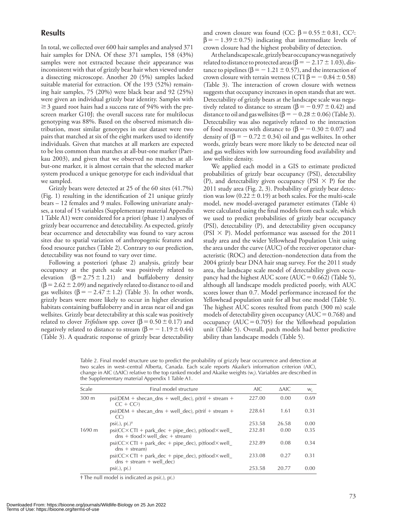# **Results**

In total, we collected over 600 hair samples and analysed 371 hair samples for DNA. Of these 371 samples, 158 (43%) samples were not extracted because their appearance was inconsistent with that of grizzly bear hair when viewed under a dissecting microscope. Another 20 (5%) samples lacked suitable material for extraction. Of the 193 (52%) remaining hair samples, 75 (20%) were black bear and 92 (25%) were given an individual grizzly bear identity. Samples with  $\geq$  3 guard root hairs had a success rate of 94% with the prescreen marker G10J; the overall success rate for multilocus genotyping was 88%. Based on the observed mismatch distribution, most similar genotypes in our dataset were two pairs that matched at six of the eight markers used to identify individuals. Given that matches at all markers are expected to be less common than matches at all-but-one marker (Paetkau 2003), and given that we observed no matches at allbut-one marker, it is almost certain that the selected marker system produced a unique genotype for each individual that we sampled.

Grizzly bears were detected at 25 of the 60 sites (41.7%) (Fig. 1) resulting in the identification of 21 unique grizzly bears – 12 females and 9 males. Following univariate analyses, a total of 15 variables (Supplementary material Appendix 1 Table A1) were considered for a priori (phase 1) analyses of grizzly bear occurrence and detectability. As expected, grizzly bear occurrence and detectability was found to vary across sites due to spatial variation of anthropogenic features and food resource patches (Table 2). Contrary to our prediction, detectability was not found to vary over time.

Following a posteriori (phase 2) analysis, grizzly bear occupancy at the patch scale was positively related to elevation  $(\beta = 2.75 \pm 1.21)$  and buffaloberry density  $(\beta = 2.62 \pm 2.09)$  and negatively related to distance to oil and gas wellsites  $(\beta = -2.47 \pm 1.2)$  (Table 3). In other words, grizzly bears were more likely to occur in higher elevation habitats containing buffaloberry and in areas near oil and gas wellsites. Grizzly bear detectability at this scale was positively related to clover *Trifolium* spp. cover ( $\beta = 0.50 \pm 0.17$ ) and negatively related to distance to stream  $(\beta = -1.19 \pm 0.44)$ (Table 3). A quadratic response of grizzly bear detectability and crown closure was found (CC:  $\beta = 0.55 \pm 0.81$ , CC<sup>2</sup>:  $\beta$  = -1.39 ± 0.75) indicating that intermediate levels of crown closure had the highest probability of detection.

At the landscape scale, grizzly bear occupancy was negatively related to distance to protected areas ( $\beta = -2.17 \pm 1.03$ ), distance to pipelines ( $\beta$  = -1.21  $\pm$  0.57), and the interaction of crown closure with terrain wetness (CTI  $\beta$  = -0.84  $\pm$  0.58) (Table 3). The interaction of crown closure with wetness suggests that occupancy increases in open stands that are wet. Detectability of grizzly bears at the landscape scale was negatively related to distance to stream ( $\beta$  = -0.97  $\pm$  0.42) and distance to oil and gas wellsites ( $\beta = -0.28 \pm 0.06$ ) (Table 3). Detectability was also negatively related to the interaction of food resources with distance to  $(\beta = -0.30 \pm 0.07)$  and density of  $(\beta = -0.72 \pm 0.34)$  oil and gas wellsites. In other words, grizzly bears were more likely to be detected near oil and gas wellsites with low surrounding food availability and low wellsite density.

We applied each model in a GIS to estimate predicted probabilities of grizzly bear occupancy (PSI), detectability (P), and detectability given occupancy (PSI  $\times$  P) for the 2011 study area (Fig. 2, 3). Probability of grizzly bear detection was low  $(0.22 \pm 0.19)$  at both scales. For the multi-scale model, new model-averaged parameter estimates (Table 4) were calculated using the final models from each scale, which we used to predict probabilities of grizzly bear occupancy (PSI), detectability (P), and detectability given occupancy (PSI  $\times$  P). Model performance was assessed for the 2011 study area and the wider Yellowhead Population Unit using the area under the curve (AUC) of the receiver operator characteristic (ROC) and detection–nondetection data from the 2004 grizzly bear DNA hair snag survey. For the 2011 study area, the landscape scale model of detectability given occupancy had the highest AUC score (AUC =  $0.662$ ) (Table 5), although all landscape models predicted poorly, with AUC scores lower than 0.7. Model performance increased for the Yellowhead population unit for all but one model (Table 5). The highest AUC scores resulted from patch (300 m) scale models of detectability given occupancy ( $AUC = 0.768$ ) and occupancy  $(AUC = 0.705)$  for the Yellowhead population unit (Table 5). Overall, patch models had better predictive ability than landscape models (Table 5).

Table 2. Final model structure use to predict the probability of grizzly bear occurrence and detection at two scales in west–central Alberta, Canada. Each scale reports Akaike's information criterion (AIC), change in AIC (ΔAIC) relative to the top ranked model and Akaike weights ( $w_i$ ). Variables are described in the Supplementary material Appendix 1 Table A1.

| Scale  | Final model structure                                                                                                                                    | AIC.   | AAIC. | $W_i$ |
|--------|----------------------------------------------------------------------------------------------------------------------------------------------------------|--------|-------|-------|
| 300 m  | $psi(DEM + shecan_dms + well_dec)$ , $p(trif + stream +$<br>$CC + CC2$                                                                                   | 227.00 | 0.00  | 0.69  |
|        | $psi(DEM + shecan_dms + well_dec)$ , $p(trif + stream +$<br>CC)                                                                                          | 228.61 | 1.61  | 0.31  |
|        | $psi(.)$ , $p(.)^{\dagger}$                                                                                                                              | 253.58 | 26.58 | 0.00  |
| 1690 m | $psi(CC \times CTI + park\_dec + pipe\_dec)$ , $p(tfood \times well$<br>$\text{dns} + \text{tfood} \times \text{well} \ \text{dec} + \text{stream}$      | 232.81 | 0.00  | 0.35  |
|        | $psi(CC \times CTI + park\_dec + pipe\_dec)$ , $p(tfood \times well$<br>$\text{dns} + \text{stream}$                                                     | 232.89 | 0.08  | 0.34  |
|        | $\text{psi}(CC \times CTI + \text{park\_dec} + \text{pipe\_dec})$ , $\text{p}(\text{food} \times \text{well\_det})$<br>$\text{dns}$ + stream + well dec) | 233.08 | 0.27  | 0.31  |
|        | $psi(.)$ , $p(.)$                                                                                                                                        | 253.58 | 20.77 | 0.00  |

† The null model is indicated as psi(.), p(.)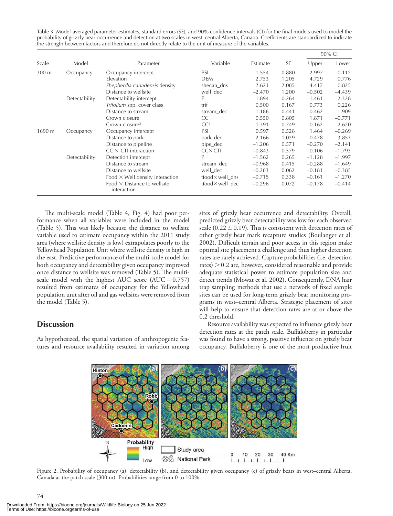| Table 3. Model-averaged parameter estimates, standard errors (SE), and 90% confidence intervals (CI) for the final models used to model the   |
|-----------------------------------------------------------------------------------------------------------------------------------------------|
| probability of grizzly bear occurrence and detection at two scales in west-central Alberta, Canada. Coefficients are standardized to indicate |
| the strength between factors and therefore do not directly relate to the unit of measure of the variables.                                    |

|        | Model         | Parameter                                         |                                              |          | <b>SE</b> | 90% CI   |          |
|--------|---------------|---------------------------------------------------|----------------------------------------------|----------|-----------|----------|----------|
| Scale  |               |                                                   | Variable                                     | Estimate |           | Upper    | Lower    |
| 300 m  | Occupancy     | Occupancy intercept                               | PSI                                          | 1.554    | 0.880     | 2.997    | 0.112    |
|        |               | Elevation                                         | <b>DEM</b>                                   | 2.753    | 1.205     | 4.729    | 0.776    |
|        |               | Shepherdia canadensis density                     | shecan_dns                                   | 2.621    | 2.085     | 4.417    | 0.825    |
|        |               | Distance to wellsite                              | well_dec                                     | $-2.470$ | 1.200     | $-0.502$ | $-4.439$ |
|        | Detectability | Detectability intercept                           | P                                            | $-1.894$ | 0.264     | $-1.461$ | $-2.328$ |
|        |               | Trifolium spp. cover class                        | trif                                         | 0.500    | 0.167     | 0.773    | 0.226    |
|        |               | Distance to stream                                | stream dec                                   | $-1.186$ | 0.441     | $-0.462$ | $-1.909$ |
|        |               | Crown closure                                     | <b>CC</b>                                    | 0.550    | 0.805     | 1.871    | $-0.771$ |
|        |               | Crown closure <sup>2</sup>                        | CC <sup>2</sup>                              | $-1.391$ | 0.749     | $-0.162$ | $-2.620$ |
| 1690 m | Occupancy     | Occupancy intercept                               | PSI                                          | 0.597    | 0.528     | 1.464    | $-0.269$ |
|        |               | Distance to park                                  | park_dec                                     | $-2.166$ | 1.029     | $-0.478$ | $-3.853$ |
|        |               | Distance to pipeline                              | pipe_dec                                     | $-1.206$ | 0.571     | $-0.270$ | $-2.141$ |
|        |               | $CC \times CTI$ interaction                       | $CC \times CTI$                              | $-0.843$ | 0.579     | 0.106    | $-1.793$ |
|        | Detectability | Detection intercept                               | P                                            | $-1.562$ | 0.265     | $-1.128$ | $-1.997$ |
|        |               | Distance to stream                                | stream dec                                   | $-0.968$ | 0.415     | $-0.288$ | $-1.649$ |
|        |               | Distance to wellsite                              | well_dec                                     | $-0.283$ | 0.062     | $-0.181$ | $-0.385$ |
|        |               | Food $\times$ Well density interaction            | $\text{ftood} \times \text{well}_\text{dns}$ | $-0.715$ | 0.338     | $-0.161$ | $-1.270$ |
|        |               | Food $\times$ Distance to wellsite<br>interaction | tfood× well dec                              | $-0.296$ | 0.072     | $-0.178$ | $-0.414$ |

The multi-scale model (Table 4, Fig. 4) had poor performance when all variables were included in the model (Table 5). This was likely because the distance to wellsite variable used to estimate occupancy within the 2011 study area (where wellsite density is low) extrapolates poorly to the Yellowhead Population Unit where wellsite density is high in the east. Predictive performance of the multi-scale model for both occupancy and detectability given occupancy improved once distance to wellsite was removed (Table 5). The multiscale model with the highest AUC score  $(AUC = 0.757)$ resulted from estimates of occupancy for the Yellowhead population unit after oil and gas wellsites were removed from the model (Table 5).

# **Discussion**

74

As hypothesized, the spatial variation of anthropogenic features and resource availability resulted in variation among sites of grizzly bear occurrence and detectability. Overall, predicted grizzly bear detectability was low for each observed scale (0.22  $\pm$  0.19). This is consistent with detection rates of other grizzly bear mark recapture studies (Boulanger et al. 2002). Difficult terrain and poor access in this region make optimal site placement a challenge and thus higher detection rates are rarely achieved. Capture probabilities (i.e. detection rates)  $> 0.2$  are, however, considered reasonable and provide adequate statistical power to estimate population size and detect trends (Mowat et al. 2002). Consequently, DNA hair trap sampling methods that use a network of fixed sample sites can be used for long-term grizzly bear monitoring programs in west–central Alberta. Strategic placement of sites will help to ensure that detection rates are at or above the 0.2 threshold.

Resource availability was expected to influence grizzly bear detection rates at the patch scale. Buffaloberry in particular was found to have a strong, positive influence on grizzly bear occupancy. Buffaloberry is one of the most productive fruit



Figure 2. Probability of occupancy (a), detectability (b), and detectability given occupancy (c) of grizzly bears in west–central Alberta, Canada at the patch scale (300 m). Probabilities range from 0 to 100%.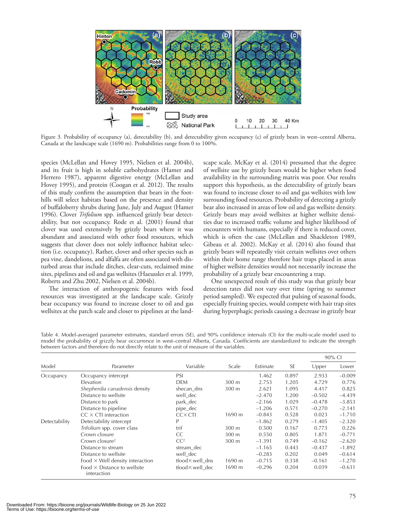

Figure 3. Probability of occupancy (a), detectability (b), and detectability given occupancy (c) of grizzly bears in west–central Alberta, Canada at the landscape scale (1690 m). Probabilities range from 0 to 100%.

species (McLellan and Hovey 1995, Nielsen et al. 2004b), and its fruit is high in soluble carbohydrates (Hamer and Herrero 1987), apparent digestive energy (McLellan and Hovey 1995), and protein (Coogan et al. 2012). The results of this study confirm the assumption that bears in the foothills will select habitats based on the presence and density of buffaloberry shrubs during June, July and August (Hamer 1996). Clover *Trifolium* spp*.* influenced grizzly bear detectability, but not occupancy. Rode et al. (2001) found that clover was used extensively by grizzly bears where it was abundant and associated with other food resources, which suggests that clover does not solely influence habitat selection (i.e. occupancy). Rather, clover and other species such as pea vine, dandelions, and alfalfa are often associated with disturbed areas that include ditches, clear-cuts, reclaimed mine sites, pipelines and oil and gas wellsites (Haeussler et al. 1999, Roberts and Zhu 2002, Nielsen et al. 2004b).

The interaction of anthropogenic features with food resources was investigated at the landscape scale. Grizzly bear occupancy was found to increase closer to oil and gas wellsites at the patch scale and closer to pipelines at the landscape scale. McKay et al. (2014) presumed that the degree of wellsite use by grizzly bears would be higher when food availability in the surrounding matrix was poor. Our results support this hypothesis, as the detectability of grizzly bears was found to increase closer to oil and gas wellsites with low surrounding food resources. Probability of detecting a grizzly bear also increased in areas of low oil and gas wellsite density. Grizzly bears may avoid wellsites at higher wellsite densities due to increased traffic volume and higher likelihood of encounters with humans, especially if there is reduced cover, which is often the case (McLellan and Shackleton 1989, Gibeau et al. 2002). McKay et al. (2014) also found that grizzly bears will repeatedly visit certain wellsites over others within their home range therefore hair traps placed in areas of higher wellsite densities would not necessarily increase the probability of a grizzly bear encountering a trap.

One unexpected result of this study was that grizzly bear detection rates did not vary over time (spring to summer period sampled). We expected that pulsing of seasonal foods, especially fruiting species, would compete with hair trap sites during hyperphagic periods causing a decrease in grizzly bear

Table 4. Model-averaged parameter estimates, standard errors (SE), and 90% confidence intervals (CI) for the multi-scale model used to model the probability of grizzly bear occurrence in west–central Alberta, Canada. Coefficients are standardized to indicate the strength between factors and therefore do not directly relate to the unit of measure of the variables.

|               |                                                   | Variable                   | Scale  | Estimate | <b>SE</b> | 90% CI   |          |
|---------------|---------------------------------------------------|----------------------------|--------|----------|-----------|----------|----------|
| Model         | Parameter                                         |                            |        |          |           | Upper    | Lower    |
| Occupancy     | Occupancy intercept                               | PSI                        |        | 1.462    | 0.897     | 2.933    | $-0.009$ |
|               | Elevation                                         | <b>DEM</b>                 | 300 m  | 2.753    | 1.205     | 4.729    | 0.776    |
|               | Shepherdia canadensis density                     | shecan_dns                 | 300 m  | 2.621    | 1.095     | 4.417    | 0.825    |
|               | Distance to wellsite                              | well dec                   |        | $-2.470$ | 1.200     | $-0.502$ | $-4.439$ |
|               | Distance to park                                  | park_dec                   |        | $-2.166$ | 1.029     | $-0.478$ | $-3.853$ |
|               | Distance to pipeline                              | pipe_dec                   |        | $-1.206$ | 0.571     | $-0.270$ | $-2.141$ |
|               | $CC \times CTI$ interaction                       | $CC \times CTI$            | 1690 m | $-0.843$ | 0.528     | 0.023    | $-1.710$ |
| Detectability | Detectability intercept                           | P                          |        | $-1.862$ | 0.279     | $-1.405$ | $-2.320$ |
|               | Trifolium spp. cover class                        | trif                       | 300 m  | 0.500    | 0.167     | 0.773    | 0.226    |
|               | Crown closure                                     | CC                         | 300 m  | 0.550    | 0.805     | 1.871    | $-0.771$ |
|               | Crown closure <sup>2</sup>                        | CC <sup>2</sup>            | 300 m  | $-1.391$ | 0.749     | $-0.162$ | $-2.620$ |
|               | Distance to stream                                | stream_dec                 |        | $-1.165$ | 0.443     | $-0.437$ | $-1.892$ |
|               | Distance to wellsite                              | well dec                   |        | $-0.283$ | 0.202     | 0.049    | $-0.614$ |
|               | Food $\times$ Well density interaction            | $t$ food $\times$ well dns | 1690 m | $-0.715$ | 0.338     | $-0.161$ | $-1.270$ |
|               | Food $\times$ Distance to wellsite<br>interaction | tfood×well dec             | 1690 m | $-0.296$ | 0.204     | 0.039    | $-0.631$ |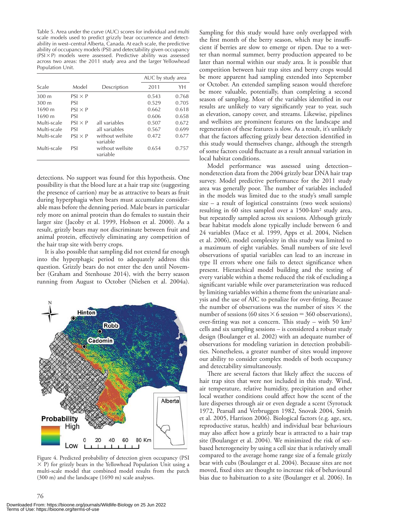Table 5. Area under the curve (AUC) scores for individual and multi scale models used to predict grizzly bear occurrence and detectability in west–central Alberta, Canada. At each scale, the predictive ability of occupancy models (PSI) and detectability given occupancy  $(PSI \times P)$  models were assessed. Predictive ability was assessed across two areas: the 2011 study area and the larger Yellowhead Population Unit.

|                      |                |                              | AUC by study area |       |
|----------------------|----------------|------------------------------|-------------------|-------|
| Scale                | Model          | Description                  | 2011              | YΗ    |
| 300 m                | $PSI \times P$ |                              | 0.543             | 0.768 |
| $300 \text{ m}$      | PSI            |                              | 0.529             | 0.705 |
| $1690 \; \mathrm{m}$ | $PSI \times P$ |                              | 0.662             | 0.618 |
| $1690 \; \mathrm{m}$ | PSI            |                              | 0.606             | 0.658 |
| Multi-scale          | $PSI \times P$ | all variables                | 0.507             | 0.672 |
| Multi-scale          | PSI            | all variables                | 0.567             | 0.699 |
| Multi-scale          | $PSI \times P$ | without wellsite<br>variable | 0.472             | 0.677 |
| Multi-scale          | PSI            | without wellsite<br>variable | 0.654             | 0.757 |

detections. No support was found for this hypothesis. One possibility is that the blood lure at a hair trap site (suggesting the presence of carrion) may be as attractive to bears as fruit during hyperphagia when bears must accumulate considerable mass before the denning period. Male bears in particular rely more on animal protein than do females to sustain their larger size (Jacoby et al. 1999, Hobson et al. 2000). As a result, grizzly bears may not discriminate between fruit and animal protein, effectively eliminating any competition of the hair trap site with berry crops.

It is also possible that sampling did not extend far enough into the hyperphagic period to adequately address this question. Grizzly bears do not enter the den until November (Graham and Stenhouse 2014), with the berry season running from August to October (Nielsen et al. 2004a).



Figure 4. Predicted probability of detection given occupancy (PSI  $\times$  P) for grizzly bears in the Yellowhead Population Unit using a multi-scale model that combined model results from the patch (300 m) and the landscape (1690 m) scale analyses.

Sampling for this study would have only overlapped with the first month of the berry season, which may be insufficient if berries are slow to emerge or ripen. Due to a wetter than normal summer, berry production appeared to be later than normal within our study area. It is possible that competition between hair trap sites and berry crops would be more apparent had sampling extended into September or October. An extended sampling season would therefore be more valuable, potentially, than completing a second season of sampling. Most of the variables identified in our results are unlikely to vary significantly year to year, such as elevation, canopy cover, and streams. Likewise, pipelines and wellsites are prominent features on the landscape and regeneration of these features is slow. As a result, it's unlikely that the factors affecting grizzly bear detection identified in this study would themselves change, although the strength of some factors could fluctuate as a result annual variation in local habitat conditions.

Model performance was assessed using detection– nondetection data from the 2004 grizzly bear DNA hair trap survey. Model predictive performance for the 2011 study area was generally poor. The number of variables included in the models was limited due to the study's small sample size – a result of logistical constraints (two week sessions) resulting in 60 sites sampled over a 1500-km2 study area, but repeatedly sampled across six sessions. Although grizzly bear habitat models alone typically include between 6 and 24 variables (Mace et al. 1999, Apps et al. 2004, Nielsen et al. 2006), model complexity in this study was limited to a maximum of eight variables. Small numbers of site level observations of spatial variables can lead to an increase in type II errors where one fails to detect significance when present. Hierarchical model building and the testing of every variable within a theme reduced the risk of excluding a significant variable while over parameterization was reduced by limiting variables within a theme from the univariate analysis and the use of AIC to penalize for over-fitting. Because the number of observations was the number of sites  $\times$  the number of sessions (60 sites  $\times$  6 session = 360 observations), over-fitting was not a concern. This study – with 50 km2 cells and six sampling sessions – is considered a robust study design (Boulanger et al. 2002) with an adequate number of observations for modeling variation in detection probabilities. Nonetheless, a greater number of sites would improve our ability to consider complex models of both occupancy and detectability simultaneously.

There are several factors that likely affect the success of hair trap sites that were not included in this study. Wind, air temperature, relative humidity, precipitation and other local weather conditions could affect how the scent of the lure disperses through air or even degrade a scent (Syrotuck 1972, Pearsall and Verbruggen 1982, Snovak 2004, Smith et al. 2005, Harrison 2006). Biological factors (e.g. age, sex, reproductive status, health) and individual bear behaviours may also affect how a grizzly bear is attracted to a hair trap site (Boulanger et al. 2004). We minimized the risk of sexbased heterogeneity by using a cell size that is relatively small compared to the average home range size of a female grizzly bear with cubs (Boulanger et al. 2004). Because sites are not moved, fixed sites are thought to increase risk of behavioural bias due to habituation to a site (Boulanger et al. 2006). In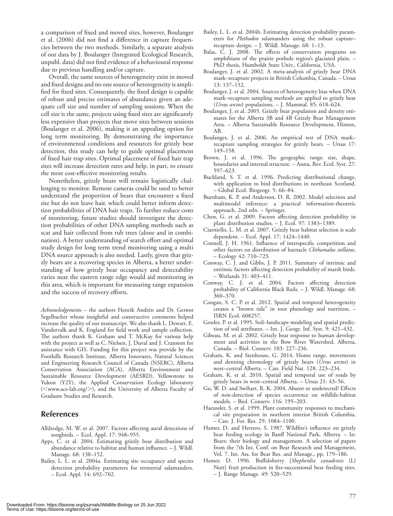a comparison of fixed and moved sites, however, Boulanger et al. (2006) did not find a difference in capture frequencies between the two methods. Similarly, a separate analysis of our data by J. Boulanger (Integrated Ecological Research, unpubl. data) did not find evidence of a behavioural response due to previous handling and/or capture.

Overall, the same sources of heterogeneity exist in moved and fixed designs and no one source of heterogeneity is amplified for fixed sites. Consequently, the fixed design is capable of robust and precise estimates of abundance given an adequate cell size and number of sampling sessions. When the cell size is the same, projects using fixed sites are significantly less expensive than projects that move sites between sessions (Boulanger et al. 2006), making it an appealing option for long term monitoring. By demonstrating the importance of environmental conditions and resources for grizzly bear detection, this study can help to guide optimal placement of fixed hair trap sites. Optimal placement of fixed hair trap sites will increase detection rates and help, in part, to ensure the most cost-effective monitoring results.

Nonetheless, grizzly bears will remain logistically challenging to monitor. Remote cameras could be used to better understand the proportion of bears that encounter a fixed site but do not leave hair, which could better inform detection probabilities of DNA hair traps. To further reduce costs of monitoring, future studies should investigate the detection probabilities of other DNA sampling methods such as scat and hair collected from rub trees (alone and in combination). A better understanding of search effort and optimal study design for long term trend monitoring using a multi DNA source approach is also needed. Lastly, given that grizzly bears are a recovering species in Alberta, a better understanding of how grizzly bear occupancy and detectability varies near the eastern range edge would aid monitoring in this area, which is important for measuring range expansion and the success of recovery efforts.

*Acknowledgements –* the authors Henrik Andrén and Dr. Gernot Segelbacher whose insightful and constructive comments helped increase the quality of our manuscript. We also thank L. Dewart, E. Vandervalk and K. England for field work and sample collection. The authors thank K. Graham and T. McKay for various help with the project as well as C. Nielsen, J. Duval and J. Cranston for assistance with GIS. Funding for this project was provide by the Foothills Research Institute, Alberta Innovates, Natural Sciences and Engineering Research Council of Canada (NSERC), Alberta Conservation Association (ACA), Alberta Environment and Sustainable Resource Development (AESRD), Yellowstone to Yukon (Y2Y), the Applied Conservation Ecology laboratory (<www.ace-lab.org/>), and the University of Alberta Faculty of Graduate Studies and Research.

# **References**

- Alldredge, M. W. et al. 2007. Factors affecting aural detections of songbirds. – Ecol. Appl. 17: 948–955.
- Apps, C. et al. 2004. Estimating grizzly bear distribution and abundance relative to habitat and human influence. – J. Wildl. Manage. 68: 138–152.
- Bailey, L. L. et al. 2004a. Estimating site occupancy and species detection probability parameters for terrestrial salamanders. – Ecol. Appl. 14: 692–702.
- Bailey, L. L. et al. 2004b. Estimating detection probability parameters for *Plethodon* salamanders using the robust capture– recapture design. – J. Wildl. Manage. 68: 1–13.
- Balas, C. J. 2008. The effects of conservation programs on amphibians of the prairie pothole region's glaciated plain. – PhD thesis, Humboldt State Univ., California, USA.
- Boulanger, J. et al. 2002. A meta-analysis of grizzly bear DNA mark–recapture projects in British Columbia, Canada. – Ursus 13: 137–152.
- Boulanger, J. et al. 2004. Sources of heterogeneity bias when DNA mark–recapture sampling methods are applied to grizzly bear (*Ursus arctos*) populations. – J. Mammal. 85: 618–624.
- Boulanger, J. et al. 2005. Grizzly bear population and density estimates for the Alberta 3B and 4B Grizzly Bear Management Area. – Alberta Sustainable Resource Development, Hinton, AB.
- Boulanger, J. et al. 2006. An empirical test of DNA mark– recapture sampling strategies for grizzly bears. – Ursus 17: 149–158.
- Brown, J. et al. 1996. The geographic range: size, shape, boundaries and internal structure. – Annu. Rev. Ecol. Syst. 27: 597–623.
- Buckland, S. T. et al. 1996. Predicting distributional change, with application to bird distributions in northeast Scotland. – Global Ecol. Biogeogr. 5: 66–84.
- Burnham, K. P. and Anderson, D. R. 2002. Model selection and multimodel inference: a practical information-theoretic approach, 2nd edn. – Springer.
- Chen, G. et al. 2009. Factors affecting detection probability in plant distribution studies. – J. Ecol. 97: 1383–1389.
- Ciarniello, L. M. et al. 2007. Grizzly bear habitat selection is scale dependent. – Ecol. Appl. 17: 1424–1440.
- Connell, J. H. 1961. Influence of interspecific competition and other factors on distribution of barnacle *Chthamalus stellatus*. – Ecology 42: 710–723.
- Conway, C. J. and Gibbs, J. P. 2011. Summary of intrinsic and extrinsic factors affecting detection probability of marsh birds. – Wetlands 31: 403–411.
- Conway, C. J. et al. 2004. Factors affecting detection probability of California Black Rails. – J. Wildl. Manage. 68: 360–370.
- Coogan, S. C. P. et al. 2012. Spatial and temporal heterogeneity creates a "brown tide" in root phenology and nutrition. – ISRN Ecol. 608257.
- Gessler, P. et al. 1995. Soil–landscape modeling and spatial prediction of soil attributes. – Int. J. Geogr. Inf. Syst. 9: 421–432.
- Gibeau, M. et al. 2002. Grizzly bear response to human development and activities in the Bow River Watershed, Alberta, Canada. – Biol. Conserv. 103: 227–236.
- Graham, K. and Stenhouse, G. 2014. Home range, movements and denning chronology of grizzly bears (*Ursus arctos*) in west–central Alberta. – Can. Field Nat. 128: 223–234.
- Graham, K. et al. 2010. Spatial and temporal use of roads by grizzly bears in west–central Alberta. – Ursus 21: 43–56.
- Gu, W. D. and Swihart, R. K. 2004. Absent or undetected? Effects of non-detection of species occurrence on wildlife-habitat models. – Biol. Conserv. 116: 195–203.
- Haeussler, S. et al. 1999. Plant community responses to mechanical site preparation in northern interior British Columbia. – Can. J. For. Res. 29: 1084–1100.
- Hamer, D. and Herrero, S. 1987. Wildfire's influence on grizzly bear feeding ecology in Banff National Park, Alberta. – In: Bears: their biology and management. A selection of papers from the 7th Int. Conf. on Bear Research and Management, Vol. 7. Int. Ass. for Bear Res. and Manage., pp. 179–186.
- Hamer, D. 1996. Buffaloberry [*Shepherdia canadensis* (L) Nutt] fruit production in fire-successional bear feeding sites. – J. Range Manage. 49: 520–529.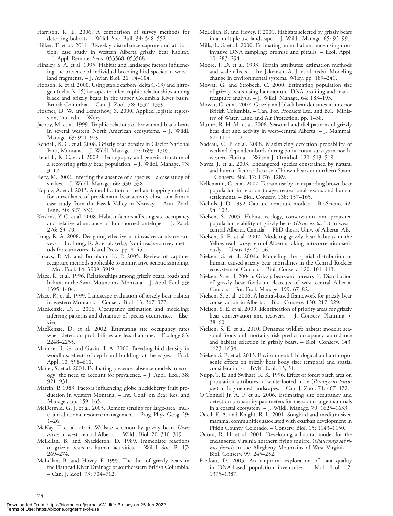- Harrison, R. L. 2006. A comparison of survey methods for detecting bobcats. – Wildl. Soc. Bull. 34: 548–552.
- Hilker, T. et al. 2011. Biweekly disturbance capture and attribution: case study in western Alberta grizzly bear habitat. – J. Appl. Remote. Sens. 053568–053568.
- Hinsley, S. A. et al. 1995. Habitat and landscape factors influencing the presence of individual breeding bird species in woodland fragments. – J. Avian Biol. 26: 94–104.
- Hobson, K. et al. 2000. Using stable carbon (delta C-13) and nitrogen (delta N-15) isotopes to infer trophic relationships among black and grizzly bears in the upper Columbia River basin, British Columbia. – Can. J. Zool. 78: 1332–1339.
- Hosmer, D. W. and Lemeshow, S. 2000. Applied logistic regression, 2nd edn. – Wiley.
- Jacoby, M. et al. 1999. Trophic relations of brown and black bears in several western North American ecosystems. – J. Wildl. Manage. 63: 921–929.
- Kendall, K. C. et al. 2008. Grizzly bear density in Glacier National Park, Montana. – J. Wildl. Manage. 72: 1693–1705.
- Kendall, K. C. et al. 2009. Demography and genetic structure of a recovering grizzly bear population. – J. Wildl. Manage. 73:  $3 - 17$ .
- Kery, M. 2002. Inferring the absence of a species a case study of snakes. – J. Wildl. Manage. 66: 330–338.
- Kopatz, A. et al. 2013. A modification of the hair-trapping method for surveillance of problematic bear activity close to a farm-a case study from the Pasvik Valley in Norway. – Ann. Zool. Fenn. 50: 327–332.
- Krishna, Y. C. et al. 2008. Habitat factors affecting site occupancy and relative abundance of four-horned antelope. – J. Zool. 276: 63–70.
- Long, R. A. 2008. Designing effective noninvasive carnivore surveys. – In: Long, R. A. et al. (eds), Noninvasive survey methods for carnivores. Island Press, pp. 8–45.
- Lukacs, P. M. and Burnham, K. P. 2005. Review of capturerecapture methods applicable to noninvasive genetic sampling. – Mol. Ecol. 14: 3909–3919.
- Mace, R. et al. 1996. Relationships among grizzly bears, roads and habitat in the Swan Mountains, Montana. – J. Appl. Ecol. 33: 1395–1404.
- Mace, R. et al. 1999. Landscape evaluation of grizzly bear habitat in western Montana. – Conserv. Biol. 13: 367–377.
- MacKenzie, D. I. 2006. Occupancy estimation and modeling: inferring patterns and dynamics of species occurrence. – Elsevier.
- MacKenzie, D. et al. 2002. Estimating site occupancy rates when detection probabilities are less than one. – Ecology 83: 2248–2255.
- Mancke, R. G. and Gavin, T. A. 2000. Breeding bird density in woodlots: effects of depth and buildings at the edges. – Ecol. Appl. 10: 598–611.
- Manel, S. et al. 2001. Evaluating presence–absence models in ecology: the need to account for prevalence. – J. Appl. Ecol. 38: 921–931.
- Martin, P. 1983. Factors influencing globe huckleberry fruit production in western Montana. – Int. Conf. on Bear Res. and Manage., pp. 159–165.
- McDermid, G. J. et al. 2005. Remote sensing for large-area, multi-jurisdictional resource management. – Prog. Phys. Geog. 29: 1–26.
- McKay, T. et al. 2014. Wellsite selection by grizzly bears *Ursus arctos* in west–central Alberta. – Wildl. Biol. 20: 310–319.
- McLellan, B. and Shackleton, D. 1989. Immediate reactions of grizzly bears to human activities. – Wildl. Soc. B. 17: 269–274.
- McLellan, B. and Hovey, F. 1995. The diet of grizzly bears in the Flathead River Drainage of southeastern British Columbia. – Can. J. Zool. 73: 704–712.
- McLellan, B. and Hovey, F. 2001. Habitats selected by grizzly bears in a multiple use landscape. – J. Wildl. Manage. 65: 92–99.
- Mills, L. S. et al. 2000. Estimating animal abundance using noninvasive DNA sampling: promise and pitfalls. – Ecol. Appl. 10: 283–294.
- Moore, I. D. et al. 1993. Terrain attributes: estimation methods and scale effects. – In: Jakeman, A. J. et al. (eds), Modeling change in environmental systems. Wiley, pp. 189–241.
- Mowat, G. and Strobeck, C. 2000. Estimating population size of grizzly bears using hair capture, DNA profiling and mark– recapture analysis. – J. Wildl. Manage. 64: 183–193.
- Mowat, G. et al. 2002. Grizzly and black bear densities in interior British Columbia. – Can. For. Products Ltd. and B.C. Ministry of Water, Land and Air Protection, pp. 1–38.
- Munro, R. H. M. et al. 2006. Seasonal and diel patterns of grizzly bear diet and activity in west–central Alberta. – J. Mammal. 87: 1112–1121.
- Nadeau, C. P. et al. 2008. Maximizing detection probability of wetland-dependent birds during point-count surveys in northwestern Florida. – Wilson J. Ornithol. 120: 513–518.
- Naves, J. et al. 2003. Endangered species constrained by natural and human factors: the case of brown bears in northern Spain. – Conserv. Biol. 17: 1276–1289.
- Nellemann, C. et al. 2007. Terrain use by an expanding brown bear population in relation to age, recreational resorts and human settlements. – Biol. Conserv. 138: 157–165.
- Nichols, J. D. 1992. Capture–recapture models. BioScience 42: 94–102.
- Nielsen, S. 2005. Habitat ecology, conservation, and projected population viability of grizzly bears (*Ursus arctos* L.) in west– central Alberta, Canada. – PhD thesis, Univ. of Alberta, AB.
- Nielsen, S. E. et al. 2002. Modeling grizzly bear habitats in the Yellowhead Ecosystem of Alberta: taking autocorrelation seriously. – Ursus 13: 45–56.
- Nielsen, S. et al. 2004a. Modelling the spatial distribution of human caused grizzly bear mortalities in the Central Rockies ecosystem of Canada. – Biol. Conserv. 120: 101–113.
- Nielsen, S. et al. 2004b. Grizzly bears and forestry II. Distribution of grizzly bear foods in clearcuts of west–central Alberta, Canada. – For. Ecol. Manage. 199: 67–82.
- Nielsen, S. et al. 2006. A habitat-based framework for grizzly bear conservation in Alberta. – Biol. Conserv. 130: 217–229.
- Nielsen, S. E. et al. 2009. Identification of priority areas for grizzly bear conservation and recovery. – J. Conserv. Planning 5: 38–60.
- Nielsen, S. E. et al. 2010. Dynamic wildlife habitat models: seasonal foods and mortality risk predict occupancy–abundance and habitat selection in grizzly bears. – Biol. Conserv. 143: 1623–1634.
- Nielsen S. E. et al. 2013. Environmental, biological and anthropogenic effects on grizzly bear body size: temporal and spatial considerations. – BMC Ecol. 13, 31.
- Nupp, T. E. and Swihart, R. K. 1996. Effect of forest patch area on population attributes of white-footed mice (*Peromyscus leucopus*) in fragmented landscapes. – Can. J. Zool. 74: 467–472.
- O'Connell Jr, A. F. et al. 2006. Estimating site occupancy and detection probability parameters for meso-and large mammals in a coastal ecosystem. – J. Wildl. Manage. 70: 1625–1633.
- Odell, E. A. and Knight, R. L. 2001. Songbird and medium-sized mammal communities associated with exurban development in Pitkin County, Colorado. – Conserv. Biol. 15: 1143–1150.
- Odom, R. H. et al. 2001. Developing a habitat model for the endangered Virginia northern flying squirrel (*Glaucomys sabrinus fuscus*) in the Allegheny Mountains of West Virginia. – Biol. Conserv. 99: 245–252.
- Paetkau, D. 2003. An empirical exploration of data quality in DNA-based population inventories. – Mol. Ecol. 12: 1375–1387.